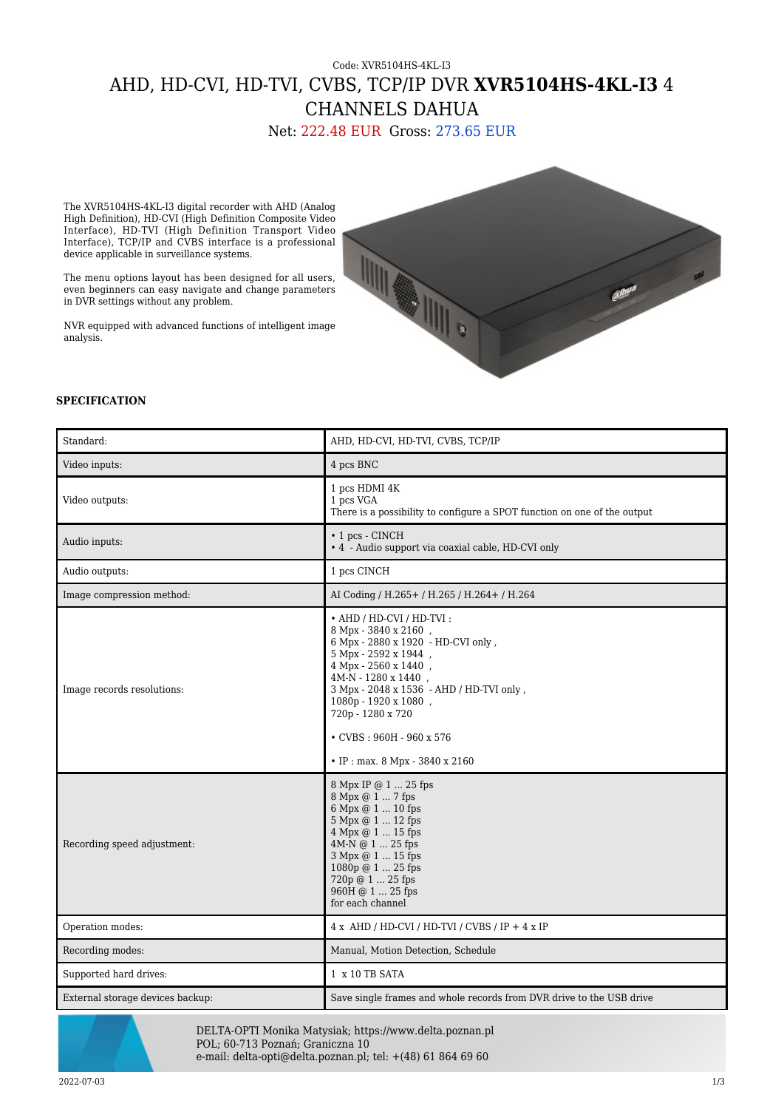## Code: XVR5104HS-4KL-I3 AHD, HD-CVI, HD-TVI, CVBS, TCP/IP DVR **XVR5104HS-4KL-I3** 4 CHANNELS DAHUA

Net: 222.48 EUR Gross: 273.65 EUR

The XVR5104HS-4KL-I3 digital recorder with AHD (Analog High Definition), HD-CVI (High Definition Composite Video Interface), HD-TVI (High Definition Transport Video Interface), TCP/IP and CVBS interface is a professional device applicable in surveillance systems.

The menu options layout has been designed for all users, even beginners can easy navigate and change parameters in DVR settings without any problem.

NVR equipped with advanced functions of intelligent image analysis.



## **SPECIFICATION**

| Standard:                        | AHD, HD-CVI, HD-TVI, CVBS, TCP/IP                                                                                                                                                                                                                                                                                             |
|----------------------------------|-------------------------------------------------------------------------------------------------------------------------------------------------------------------------------------------------------------------------------------------------------------------------------------------------------------------------------|
| Video inputs:                    | 4 pcs BNC                                                                                                                                                                                                                                                                                                                     |
| Video outputs:                   | 1 pcs HDMI 4K<br>1 pcs VGA<br>There is a possibility to configure a SPOT function on one of the output                                                                                                                                                                                                                        |
| Audio inputs:                    | • 1 pcs - CINCH<br>• 4 - Audio support via coaxial cable, HD-CVI only                                                                                                                                                                                                                                                         |
| Audio outputs:                   | 1 pcs CINCH                                                                                                                                                                                                                                                                                                                   |
| Image compression method:        | AI Coding / H.265+ / H.265 / H.264+ / H.264                                                                                                                                                                                                                                                                                   |
| Image records resolutions:       | • AHD / HD-CVI / HD-TVI:<br>8 Mpx - 3840 x 2160,<br>6 Mpx - 2880 x 1920 - HD-CVI only,<br>5 Mpx - 2592 x 1944,<br>4 Mpx - 2560 x 1440,<br>4M-N - 1280 x 1440,<br>3 Mpx - 2048 x 1536 - AHD / HD-TVI only,<br>1080p - 1920 x 1080,<br>720p - 1280 x 720<br>$\cdot$ CVBS: 960H - 960 x 576<br>• IP : max. $8$ Mpx - 3840 x 2160 |
| Recording speed adjustment:      | 8 Mpx IP @ 1  25 fps<br>8 Mpx @ 1  7 fps<br>6 Mpx @ 1  10 fps<br>5 Mpx @ 1  12 fps<br>4 Mpx @ 1  15 fps<br>4M-N @ 1  25 fps<br>3 Mpx @ 1  15 fps<br>1080p @ 1  25 fps<br>720p @ 1  25 fps<br>960H @ 1  25 fps<br>for each channel                                                                                             |
| Operation modes:                 | $4 x$ AHD / HD-CVI / HD-TVI / CVBS / IP + $4 x$ IP                                                                                                                                                                                                                                                                            |
| Recording modes:                 | Manual, Motion Detection, Schedule                                                                                                                                                                                                                                                                                            |
| Supported hard drives:           | 1 x 10 TB SATA                                                                                                                                                                                                                                                                                                                |
| External storage devices backup: | Save single frames and whole records from DVR drive to the USB drive                                                                                                                                                                                                                                                          |



DELTA-OPTI Monika Matysiak; https://www.delta.poznan.pl POL; 60-713 Poznań; Graniczna 10 e-mail: delta-opti@delta.poznan.pl; tel: +(48) 61 864 69 60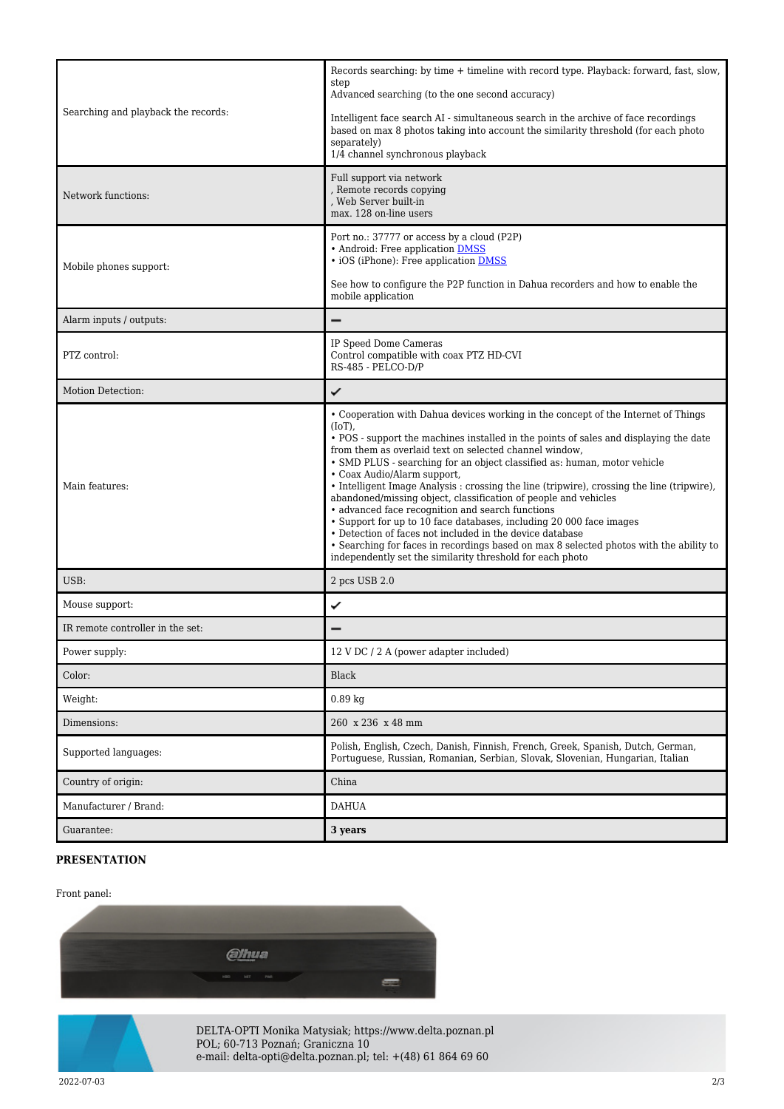| Searching and playback the records: | Records searching: by time + timeline with record type. Playback: forward, fast, slow,<br>step<br>Advanced searching (to the one second accuracy)<br>Intelligent face search AI - simultaneous search in the archive of face recordings<br>based on max 8 photos taking into account the similarity threshold (for each photo<br>separately)<br>$1/4$ channel synchronous playback                                                                                                                                                                                                                                                                                                                                                                                                                                                                                          |
|-------------------------------------|-----------------------------------------------------------------------------------------------------------------------------------------------------------------------------------------------------------------------------------------------------------------------------------------------------------------------------------------------------------------------------------------------------------------------------------------------------------------------------------------------------------------------------------------------------------------------------------------------------------------------------------------------------------------------------------------------------------------------------------------------------------------------------------------------------------------------------------------------------------------------------|
| Network functions:                  | Full support via network<br>, Remote records copying<br>, Web Server built-in<br>max. 128 on-line users                                                                                                                                                                                                                                                                                                                                                                                                                                                                                                                                                                                                                                                                                                                                                                     |
| Mobile phones support:              | Port no.: 37777 or access by a cloud (P2P)<br>• Android: Free application DMSS<br>· iOS (iPhone): Free application <b>DMSS</b><br>See how to configure the P2P function in Dahua recorders and how to enable the<br>mobile application                                                                                                                                                                                                                                                                                                                                                                                                                                                                                                                                                                                                                                      |
| Alarm inputs / outputs:             |                                                                                                                                                                                                                                                                                                                                                                                                                                                                                                                                                                                                                                                                                                                                                                                                                                                                             |
| PTZ control:                        | IP Speed Dome Cameras<br>Control compatible with coax PTZ HD-CVI<br>RS-485 - PELCO-D/P                                                                                                                                                                                                                                                                                                                                                                                                                                                                                                                                                                                                                                                                                                                                                                                      |
| Motion Detection:                   | ✓                                                                                                                                                                                                                                                                                                                                                                                                                                                                                                                                                                                                                                                                                                                                                                                                                                                                           |
| Main features:                      | • Cooperation with Dahua devices working in the concept of the Internet of Things<br>$(IoT)$ ,<br>• POS - support the machines installed in the points of sales and displaying the date<br>from them as overlaid text on selected channel window,<br>• SMD PLUS - searching for an object classified as: human, motor vehicle<br>• Coax Audio/Alarm support,<br>• Intelligent Image Analysis : crossing the line (tripwire), crossing the line (tripwire),<br>abandoned/missing object, classification of people and vehicles<br>· advanced face recognition and search functions<br>• Support for up to 10 face databases, including 20 000 face images<br>• Detection of faces not included in the device database<br>• Searching for faces in recordings based on max 8 selected photos with the ability to<br>independently set the similarity threshold for each photo |
| USB:                                | 2 pcs USB 2.0                                                                                                                                                                                                                                                                                                                                                                                                                                                                                                                                                                                                                                                                                                                                                                                                                                                               |
| Mouse support:                      | ✓                                                                                                                                                                                                                                                                                                                                                                                                                                                                                                                                                                                                                                                                                                                                                                                                                                                                           |
| IR remote controller in the set:    |                                                                                                                                                                                                                                                                                                                                                                                                                                                                                                                                                                                                                                                                                                                                                                                                                                                                             |
| Power supply:                       | 12 V DC / 2 A (power adapter included)                                                                                                                                                                                                                                                                                                                                                                                                                                                                                                                                                                                                                                                                                                                                                                                                                                      |
| Color:                              | Black                                                                                                                                                                                                                                                                                                                                                                                                                                                                                                                                                                                                                                                                                                                                                                                                                                                                       |
| Weight:                             | $0.89$ kg                                                                                                                                                                                                                                                                                                                                                                                                                                                                                                                                                                                                                                                                                                                                                                                                                                                                   |
| Dimensions:                         | 260 x 236 x 48 mm                                                                                                                                                                                                                                                                                                                                                                                                                                                                                                                                                                                                                                                                                                                                                                                                                                                           |
| Supported languages:                | Polish, English, Czech, Danish, Finnish, French, Greek, Spanish, Dutch, German,<br>Portuguese, Russian, Romanian, Serbian, Slovak, Slovenian, Hungarian, Italian                                                                                                                                                                                                                                                                                                                                                                                                                                                                                                                                                                                                                                                                                                            |
| Country of origin:                  | China                                                                                                                                                                                                                                                                                                                                                                                                                                                                                                                                                                                                                                                                                                                                                                                                                                                                       |
| Manufacturer / Brand:               | <b>DAHUA</b>                                                                                                                                                                                                                                                                                                                                                                                                                                                                                                                                                                                                                                                                                                                                                                                                                                                                |
| Guarantee:                          | 3 years                                                                                                                                                                                                                                                                                                                                                                                                                                                                                                                                                                                                                                                                                                                                                                                                                                                                     |

## **PRESENTATION**

## Front panel:





DELTA-OPTI Monika Matysiak; https://www.delta.poznan.pl POL; 60-713 Poznań; Graniczna 10 e-mail: delta-opti@delta.poznan.pl; tel: +(48) 61 864 69 60